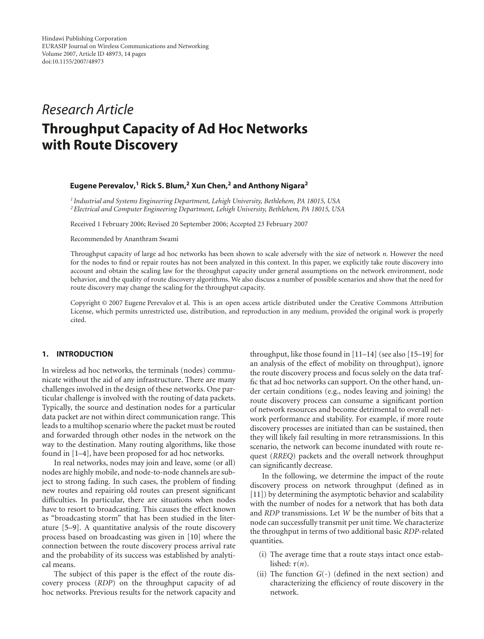# *Research Article* **Throughput Capacity of Ad Hoc Networks with Route Discovery**

# **Eugene Perevalov,1 Rick S. Blum,2 Xun Chen,2 and Anthony Nigara2**

*<sup>1</sup> Industrial and Systems Engineering Department, Lehigh University, Bethlehem, PA 18015, USA 2Electrical and Computer Engineering Department, Lehigh University, Bethlehem, PA 18015, USA*

Received 1 February 2006; Revised 20 September 2006; Accepted 23 February 2007

Recommended by Ananthram Swami

Throughput capacity of large ad hoc networks has been shown to scale adversely with the size of network *n*. However the need for the nodes to find or repair routes has not been analyzed in this context. In this paper, we explicitly take route discovery into account and obtain the scaling law for the throughput capacity under general assumptions on the network environment, node behavior, and the quality of route discovery algorithms. We also discuss a number of possible scenarios and show that the need for route discovery may change the scaling for the throughput capacity.

Copyright © 2007 Eugene Perevalov et al. This is an open access article distributed under the Creative Commons Attribution License, which permits unrestricted use, distribution, and reproduction in any medium, provided the original work is properly cited.

# **1. INTRODUCTION**

In wireless ad hoc networks, the terminals (nodes) communicate without the aid of any infrastructure. There are many challenges involved in the design of these networks. One particular challenge is involved with the routing of data packets. Typically, the source and destination nodes for a particular data packet are not within direct communication range. This leads to a multihop scenario where the packet must be routed and forwarded through other nodes in the network on the way to the destination. Many routing algorithms, like those found in [1–4], have been proposed for ad hoc networks.

In real networks, nodes may join and leave, some (or all) nodes are highly mobile, and node-to-node channels are subject to strong fading. In such cases, the problem of finding new routes and repairing old routes can present significant difficulties. In particular, there are situations when nodes have to resort to broadcasting. This causes the effect known as "broadcasting storm" that has been studied in the literature [5–9]. A quantitative analysis of the route discovery process based on broadcasting was given in [10] where the connection between the route discovery process arrival rate and the probability of its success was established by analytical means.

The subject of this paper is the effect of the route discovery process (*RDP*) on the throughput capacity of ad hoc networks. Previous results for the network capacity and throughput, like those found in [11–14] (see also [15–19] for an analysis of the effect of mobility on throughput), ignore the route discovery process and focus solely on the data traffic that ad hoc networks can support. On the other hand, under certain conditions (e.g., nodes leaving and joining) the route discovery process can consume a significant portion of network resources and become detrimental to overall network performance and stability. For example, if more route discovery processes are initiated than can be sustained, then they will likely fail resulting in more retransmissions. In this scenario, the network can become inundated with route request (*RREQ*) packets and the overall network throughput can significantly decrease.

In the following, we determine the impact of the route discovery process on network throughput (defined as in [11]) by determining the asymptotic behavior and scalability with the number of nodes for a network that has both data and *RDP* transmissions. Let *W* be the number of bits that a node can successfully transmit per unit time. We characterize the throughput in terms of two additional basic *RDP*-related quantities.

- (i) The average time that a route stays intact once established:  $\tau(n)$ .
- (ii) The function  $G(\cdot)$  (defined in the next section) and characterizing the efficiency of route discovery in the network.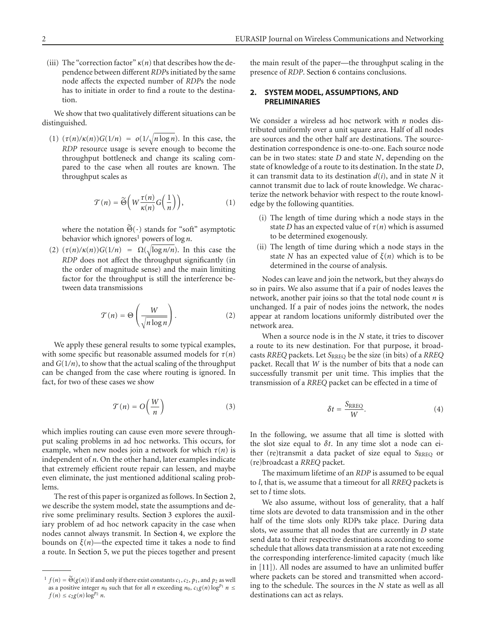(iii) The "correction factor" *κ*(*n*) that describes how the dependence between different *RDP*s initiated by the same node affects the expected number of *RDP*s the node has to initiate in order to find a route to the destination.

We show that two qualitatively different situations can be distinguished.

(1)  $(τ(n)/κ(n))G(1/n) = o(1/\sqrt{n \log n})$ . In this case, the *RDP* resource usage is severe enough to become the throughput bottleneck and change its scaling compared to the case when all routes are known. The throughput scales as

$$
\mathcal{T}(n) = \widetilde{\Theta}\left(W\frac{\tau(n)}{\kappa(n)}G\left(\frac{1}{n}\right)\right),\tag{1}
$$

where the notation  $\widetilde{\Theta}(\cdot)$  stands for "soft" asymptotic behavior which ignores<sup>1</sup> powers of log *n*.

(2)  $(\tau(n)/\kappa(n))G(1/n) = \Omega(\sqrt{\log n/n})$ . In this case the *RDP* does not affect the throughput significantly (in the order of magnitude sense) and the main limiting factor for the throughput is still the interference between data transmissions

$$
\mathcal{T}(n) = \Theta\left(\frac{W}{\sqrt{n\log n}}\right). \tag{2}
$$

We apply these general results to some typical examples, with some specific but reasonable assumed models for *τ*(*n*) and  $G(1/n)$ , to show that the actual scaling of the throughput can be changed from the case where routing is ignored. In fact, for two of these cases we show

$$
\mathcal{T}(n) = O\left(\frac{W}{n}\right) \tag{3}
$$

which implies routing can cause even more severe throughput scaling problems in ad hoc networks. This occurs, for example, when new nodes join a network for which  $\tau(n)$  is independent of *n*. On the other hand, later examples indicate that extremely efficient route repair can lessen, and maybe even eliminate, the just mentioned additional scaling problems.

The rest of this paper is organized as follows. In Section 2, we describe the system model, state the assumptions and derive some preliminary results. Section 3 explores the auxiliary problem of ad hoc network capacity in the case when nodes cannot always transmit. In Section 4, we explore the bounds on  $ξ(n)$ —the expected time it takes a node to find a route. In Section 5, we put the pieces together and present

the main result of the paper—the throughput scaling in the presence of *RDP*. Section 6 contains conclusions.

# **2. SYSTEM MODEL, ASSUMPTIONS, AND PRELIMINARIES**

We consider a wireless ad hoc network with *n* nodes distributed uniformly over a unit square area. Half of all nodes are sources and the other half are destinations. The sourcedestination correspondence is one-to-one. Each source node can be in two states: state *D* and state *N*, depending on the state of knowledge of a route to its destination. In the state *D*, it can transmit data to its destination *d*(*i*), and in state *N* it cannot transmit due to lack of route knowledge. We characterize the network behavior with respect to the route knowledge by the following quantities.

- (i) The length of time during which a node stays in the state *D* has an expected value of  $\tau(n)$  which is assumed to be determined exogenously.
- (ii) The length of time during which a node stays in the state *N* has an expected value of  $\xi(n)$  which is to be determined in the course of analysis.

Nodes can leave and join the network, but they always do so in pairs. We also assume that if a pair of nodes leaves the network, another pair joins so that the total node count *n* is unchanged. If a pair of nodes joins the network, the nodes appear at random locations uniformly distributed over the network area.

When a source node is in the *N* state, it tries to discover a route to its new destination. For that purpose, it broadcasts *RREQ* packets. Let *S*RREQ be the size (in bits) of a *RREQ* packet. Recall that *W* is the number of bits that a node can successfully transmit per unit time. This implies that the transmission of a *RREQ* packet can be effected in a time of

$$
\delta t = \frac{S_{\text{RREQ}}}{W}.\tag{4}
$$

In the following, we assume that all time is slotted with the slot size equal to *δt*. In any time slot a node can either (re)transmit a data packet of size equal to SRREQ or (re)broadcast a *RREQ* packet.

The maximum lifetime of an *RDP* is assumed to be equal to *l*, that is, we assume that a timeout for all *RREQ* packets is set to *l* time slots.

We also assume, without loss of generality, that a half time slots are devoted to data transmission and in the other half of the time slots only RDPs take place. During data slots, we assume that all nodes that are currently in *D* state send data to their respective destinations according to some schedule that allows data transmission at a rate not exceeding the corresponding interference-limited capacity (much like in [11]). All nodes are assumed to have an unlimited buffer where packets can be stored and transmitted when according to the schedule. The sources in the *N* state as well as all destinations can act as relays.

<sup>&</sup>lt;sup>1</sup>  $f(n) = \widetilde{\Theta}(g(n))$  if and only if there exist constants  $c_1$ ,  $c_2$ ,  $p_1$ , and  $p_2$  as well as a positive integer  $n_0$  such that for all *n* exceeding  $n_0$ ,  $c_1g(n)\log^{p_1} n \leq$  $f(n) \le c_2 g(n) \log^{p_2} n$ .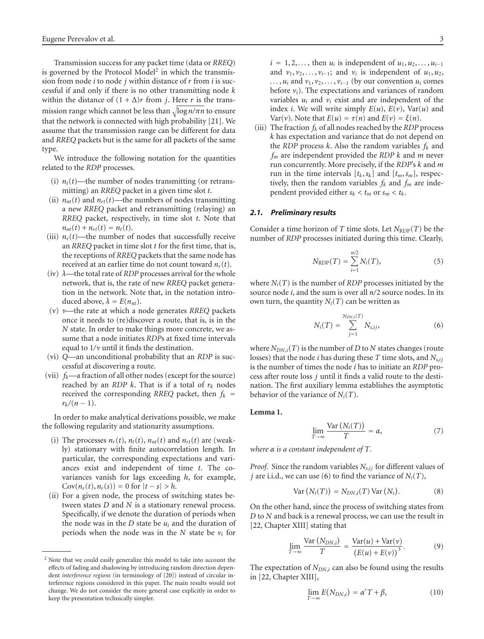Transmission success for any packet time (data or *RREQ*) is governed by the Protocol Model<sup>2</sup> in which the transmission from node *i* to node *j* within distance of *r* from *i* is successful if and only if there is no other transmitting node *k* within the distance of  $(1 + \Delta)r$  from *j*. Here *r* is the transmission range which cannot be less than  $\sqrt{\log n/\pi n}$  to ensure that the network is connected with high probability [21]. We assume that the transmission range can be different for data and *RREQ* packets but is the same for all packets of the same type.

We introduce the following notation for the quantities related to the *RDP* processes.

- (i)  $n_t(t)$ —the number of nodes transmitting (or retransmitting) an *RREQ* packet in a given time slot *t*.
- (ii)  $n_{nt}(t)$  and  $n_{rt}(t)$ —the numbers of nodes transmitting a new *RREQ* packet and retransmitting (relaying) an *RREQ* packet, respectively, in time slot *t*. Note that  $n_{nt}(t) + n_{rt}(t) = n_t(t)$ .
- (iii)  $n_r(t)$ —the number of nodes that successfully receive an *RREQ* packet in time slot *t* for the first time, that is, the receptions of *RREQ* packets that the same node has received at an earlier time do not count toward  $n_r(t)$ .
- (iv) *λ*—the total rate of *RDP* processes arrival for the whole network, that is, the rate of new *RREQ* packet generation in the network. Note that, in the notation introduced above,  $\lambda = E(n_{nt})$ .
- (v) *ν*—the rate at which a node generates *RREQ* packets once it needs to (re)discover a route, that is, is in the *N* state. In order to make things more concrete, we assume that a node initiates *RDP*s at fixed time intervals equal to 1*/ν* until it finds the destination.
- (vi) *Q*—an unconditional probability that an *RDP* is successful at discovering a route.
- (vii)  $f_k$ —a fraction of all other nodes (except for the source) reached by an *RDP*  $k$ . That is if a total of  $r_k$  nodes received the corresponding *RREQ* packet, then  $f_k$  =  $r_k/(n-1)$ .

In order to make analytical derivations possible, we make the following regularity and stationarity assumptions.

- (i) The processes  $n_r(t)$ ,  $n_t(t)$ ,  $n_{nt}(t)$  and  $n_{rt}(t)$  are (weakly) stationary with finite autocorrelation length. In particular, the corresponding expectations and variances exist and independent of time *t*. The covariances vanish for lags exceeding *h*, for example,  $Cov(n_r(t), n_r(s)) = 0$  for  $|t - s| > h$ .
- (ii) For a given node, the process of switching states between states *D* and *N* is a stationary renewal process. Specifically, if we denote the duration of periods when the node was in the *D* state be  $u_i$  and the duration of periods when the node was in the  $N$  state be  $v_i$  for

 $i = 1, 2, \ldots$ , then  $u_i$  is independent of  $u_1, u_2, \ldots, u_{i-1}$ and  $v_1, v_2, \ldots, v_{i-1}$ ; and  $v_i$  is independent of  $u_1, u_2$ ,  $\dots, u_i$  and  $v_1, v_2, \dots, v_{i-1}$  (by our convention  $u_i$  comes before  $v_i$ ). The expectations and variances of random variables  $u_i$  and  $v_i$  exist and are independent of the index *i*. We will write simply  $E(u)$ ,  $E(v)$ ,  $Var(u)$  and Var(*v*). Note that  $E(u) = \tau(n)$  and  $E(v) = \xi(n)$ .

(iii) The fraction *fk* of all nodes reached by the *RDP* process *k* has expectation and variance that do not depend on the *RDP* process *k*. Also the random variables *fk* and *fm* are independent provided the *RDP k* and *m* never run concurrently. More precisely, if the *RDP*'s *k* and *m* run in the time intervals  $[t_k, s_k]$  and  $[t_m, s_m]$ , respectively, then the random variables  $f_k$  and  $f_m$  are independent provided either  $s_k < t_m$  or  $s_m < t_k$ .

### *2.1. Preliminary results*

Consider a time horizon of *T* time slots. Let  $N_{RDP}(T)$  be the number of *RDP* processes initiated during this time. Clearly,

$$
N_{\rm RDP}(T) = \sum_{i=1}^{n/2} N_i(T),
$$
\n(5)

where  $N_i(T)$  is the number of *RDP* processes initiated by the source node *i*, and the sum is over all *n/*2 source nodes. In its own turn, the quantity  $N_i(T)$  can be written as

$$
N_i(T) = \sum_{j=1}^{N_{DN,i}(T)} N_{s,ij},
$$
\n(6)

where  $N_{DN,i}(T)$  is the number of *D* to *N* states changes (route losses) that the node *i* has during these *T* time slots, and *Ns*,*ij* is the number of times the node *i* has to initiate an *RDP* process after route loss *j* until it finds a valid route to the destination. The first auxiliary lemma establishes the asymptotic behavior of the variance of *Ni*(*T*).

# **Lemma 1.**

$$
\lim_{T \to \infty} \frac{\text{Var}\left(N_i(T)\right)}{T} = \alpha,\tag{7}
$$

*where α is a constant independent of T.*

*Proof.* Since the random variables *Ns*,*ij* for different values of *j* are i.i.d., we can use (6) to find the variance of  $N_i(T)$ ,

$$
Var(N_i(T)) = N_{DN,i}(T) Var(N_s).
$$
 (8)

On the other hand, since the process of switching states from *D* to *N* and back is a renewal process, we can use the result in [22, Chapter XIII] stating that

$$
\lim_{T \to \infty} \frac{\text{Var}\left(N_{DN,i}\right)}{T} = \frac{\text{Var}(u) + \text{Var}(v)}{\left(E(u) + E(v)\right)^3}.\tag{9}
$$

The expectation of *N<sub>DN,i</sub>* can also be found using the results in [22, Chapter XIII],

$$
\lim_{T \to \infty} E(N_{DN,i}) = \alpha' T + \beta,
$$
\n(10)

<sup>&</sup>lt;sup>2</sup> Note that we could easily generalize this model to take into account the effects of fading and shadowing by introducing random direction dependent *interference regions* (in terminology of [20]) instead of circular interference regions considered in this paper. The main results would not change. We do not consider the more general case explicitly in order to keep the presentation technically simpler.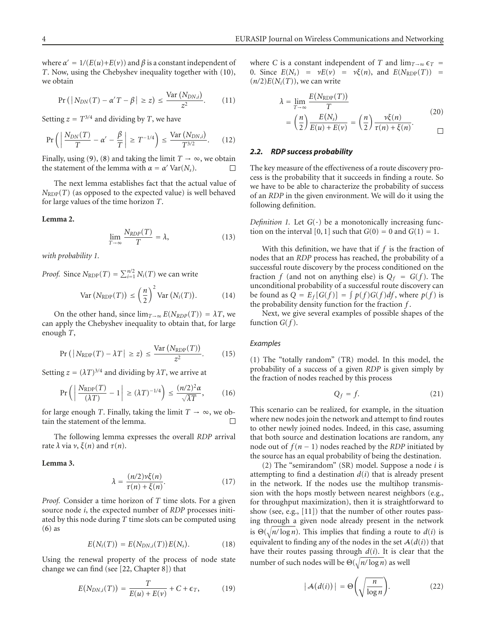where  $\alpha' = 1/(E(u) + E(v))$  and  $\beta$  is a constant independent of *T*. Now, using the Chebyshev inequality together with (10), we obtain

$$
Pr(|N_{DN}(T) - \alpha' T - \beta| \geq z) \leq \frac{\text{Var}(N_{DN,i})}{z^2}.
$$
 (11)

Setting  $z = T^{3/4}$  and dividing by *T*, we have

$$
\Pr\left(\left|\frac{N_{DN}(T)}{T} - \alpha' - \frac{\beta}{T}\right| \ge T^{-1/4}\right) \le \frac{\text{Var}\left(N_{DN,i}\right)}{T^{3/2}}.\tag{12}
$$

Finally, using (9), (8) and taking the limit  $T \to \infty$ , we obtain the statement of the lemma with  $\alpha = \alpha'$  Var(N.). the statement of the lemma with  $\alpha = \alpha' \text{Var}(N_s)$ .

The next lemma establishes fact that the actual value of  $N_{\text{RDP}}(T)$  (as opposed to the expected value) is well behaved for large values of the time horizon *T*.

**Lemma 2.**

$$
\lim_{T \to \infty} \frac{N_{RDP}(T)}{T} = \lambda,\tag{13}
$$

*with probability 1.*

*Proof.* Since  $N_{\text{RDP}}(T) = \sum_{i=1}^{n/2} N_i(T)$  we can write

$$
\text{Var}\left(N_{\text{RDP}}(T)\right) \le \left(\frac{n}{2}\right)^2 \text{Var}\left(N_i(T)\right). \tag{14}
$$

On the other hand, since  $\lim_{T\to\infty} E(N_{RDP}(T)) = \lambda T$ , we can apply the Chebyshev inequality to obtain that, for large enough *T*,

$$
Pr(|N_{RDP}(T) - \lambda T| \ge z) \le \frac{Var(N_{RDP}(T))}{z^2}.
$$
 (15)

Setting  $z = (\lambda T)^{3/4}$  and dividing by  $\lambda T$ , we arrive at

$$
\Pr\left(\left|\frac{N_{\text{RDP}}(T)}{(\lambda T)} - 1\right| \ge (\lambda T)^{-1/4}\right) \le \frac{(n/2)^2 \alpha}{\sqrt{\lambda T}},\tag{16}
$$

for large enough *T*. Finally, taking the limit  $T \to \infty$ , we obtain the statement of the lemma. tain the statement of the lemma.

The following lemma expresses the overall *RDP* arrival rate *λ* via *ν*, *ξ*(*n*) and *τ*(*n*).

## **Lemma 3.**

$$
\lambda = \frac{(n/2)\nu\xi(n)}{\tau(n) + \xi(n)}.\tag{17}
$$

*Proof.* Consider a time horizon of *T* time slots. For a given source node *i*, the expected number of *RDP* processes initiated by this node during *T* time slots can be computed using (6) as

$$
E(N_i(T)) = E(N_{DN,i}(T))E(N_s).
$$
 (18)

Using the renewal property of the process of node state change we can find (see [22, Chapter 8]) that

$$
E(N_{DN,i}(T)) = \frac{T}{E(u) + E(v)} + C + \epsilon_T, \tag{19}
$$

where *C* is a constant independent of *T* and  $\lim_{T \to \infty} \epsilon_T$ 0. Since  $E(N_s) = vE(v) = v\xi(n)$ , and  $E(N_{RDP}(T)) =$  $(n/2)E(N_i(T))$ , we can write

$$
\lambda = \lim_{T \to \infty} \frac{E(N_{\text{RDP}}(T))}{T}
$$
  
=  $\left(\frac{n}{2}\right) \frac{E(N_s)}{E(u) + E(v)} = \left(\frac{n}{2}\right) \frac{\nu \xi(n)}{\tau(n) + \xi(n)}.$  (20)

### *2.2. RDP success probability*

The key measure of the effectiveness of a route discovery process is the probability that it succeeds in finding a route. So we have to be able to characterize the probability of success of an *RDP* in the given environment. We will do it using the following definition.

*Definition 1.* Let  $G(\cdot)$  be a monotonically increasing function on the interval [0, 1] such that  $G(0) = 0$  and  $G(1) = 1$ .

With this definition, we have that if *f* is the fraction of nodes that an *RDP* process has reached, the probability of a successful route discovery by the process conditioned on the fraction *f* (and not on anything else) is  $Q_f = G(f)$ . The unconditional probability of a successful route discovery can be found as  $Q = E_f[G(f)] = \int p(f)G(f)df$ , where  $p(f)$  is the probability density function for the fraction *f* .

Next, we give several examples of possible shapes of the function  $G(f)$ .

# *Examples*

(1) The "totally random" (TR) model. In this model, the probability of a success of a given *RDP* is given simply by the fraction of nodes reached by this process

$$
Q_f = f. \tag{21}
$$

This scenario can be realized, for example, in the situation where new nodes join the network and attempt to find routes to other newly joined nodes. Indeed, in this case, assuming that both source and destination locations are random, any node out of  $f(n-1)$  nodes reached by the *RDP* initiated by the source has an equal probability of being the destination.

(2) The "semirandom" (SR) model. Suppose a node *i* is attempting to find a destination  $d(i)$  that is already present in the network. If the nodes use the multihop transmission with the hops mostly between nearest neighbors (e.g., for throughput maximization), then it is straightforward to show (see, e.g., [11]) that the number of other routes passing through a given node already present in the network is  $\Theta(\sqrt{n/\log n})$ . This implies that finding a route to  $d(i)$  is equivalent to finding any of the nodes in the set  $A(d(i))$  that have their routes passing through *d*(*i*). It is clear that the number of such nodes will be  $\Theta(\sqrt{n/\log n})$  as well

$$
|\mathcal{A}(d(i))| = \Theta\left(\sqrt{\frac{n}{\log n}}\right).
$$
 (22)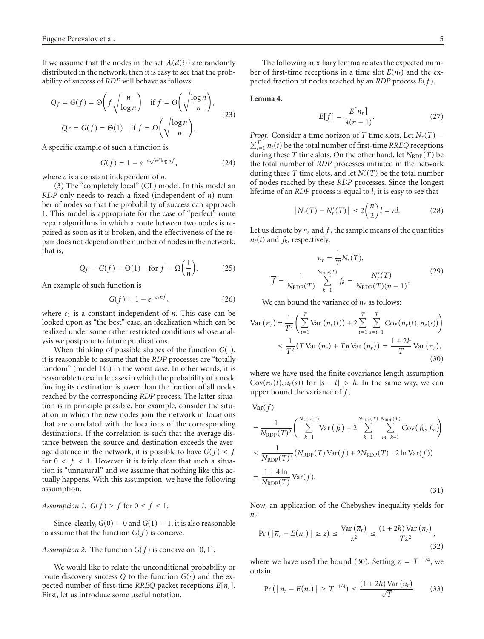If we assume that the nodes in the set  $A(d(i))$  are randomly distributed in the network, then it is easy to see that the probability of success of *RDP* will behave as follows:

$$
Q_f = G(f) = \Theta\left(f\sqrt{\frac{n}{\log n}}\right) \quad \text{if } f = O\left(\sqrt{\frac{\log n}{n}}\right),
$$
  

$$
Q_f = G(f) = \Theta(1) \quad \text{if } f = \Omega\left(\sqrt{\frac{\log n}{n}}\right).
$$
 (23)

A specific example of such a function is

$$
G(f) = 1 - e^{-c\sqrt{n/\log n}}f,
$$
 (24)

where *c* is a constant independent of *n*.

(3) The "completely local" (CL) model. In this model an *RDP* only needs to reach a fixed (independent of *n*) number of nodes so that the probability of success can approach 1. This model is appropriate for the case of "perfect" route repair algorithms in which a route between two nodes is repaired as soon as it is broken, and the effectiveness of the repair does not depend on the number of nodes in the network, that is,

$$
Q_f = G(f) = \Theta(1) \quad \text{for } f = \Omega\left(\frac{1}{n}\right). \tag{25}
$$

An example of such function is

$$
G(f) = 1 - e^{-c_1 n f}, \t\t(26)
$$

where  $c_1$  is a constant independent of  $n$ . This case can be looked upon as "the best" case, an idealization which can be realized under some rather restricted conditions whose analysis we postpone to future publications.

When thinking of possible shapes of the function *G*(·), it is reasonable to assume that the *RDP* processes are "totally random" (model TC) in the worst case. In other words, it is reasonable to exclude cases in which the probability of a node finding its destination is lower than the fraction of all nodes reached by the corresponding *RDP* process. The latter situation is in principle possible. For example, consider the situation in which the new nodes join the network in locations that are correlated with the locations of the corresponding destinations. If the correlation is such that the average distance between the source and destination exceeds the average distance in the network, it is possible to have  $G(f) < f$ for  $0 < f < 1$ . However it is fairly clear that such a situation is "unnatural" and we assume that nothing like this actually happens. With this assumption, we have the following assumption.

*Assumption 1.*  $G(f) \geq f$  for  $0 \leq f \leq 1$ .

Since, clearly,  $G(0) = 0$  and  $G(1) = 1$ , it is also reasonable to assume that the function  $G(f)$  is concave.

# *Assumption 2.* The function  $G(f)$  is concave on [0, 1].

We would like to relate the unconditional probability or route discovery success *Q* to the function  $G(\cdot)$  and the expected number of first-time *RREQ* packet receptions *E*[*nr*]. First, let us introduce some useful notation.

The following auxiliary lemma relates the expected number of first-time receptions in a time slot  $E(n_t)$  and the expected fraction of nodes reached by an *RDP* process *E*(*f* ).

### **Lemma 4.**

$$
E[f] = \frac{E[n_r]}{\lambda(n-1)}.\tag{27}
$$

*Proof.* Consider a time horizon of *T* time slots. Let  $N_r(T)$  =  $\sum_{t=1}^{T} n_t(t)$  be the total number of first-time *RREQ* receptions during these  $T$  time slots. On the other hand, let  $N_{\text{RDP}}(T)$  be the total number of *RDP* processes initiated in the network during these *T* time slots, and let  $N'_r(T)$  be the total number of nodes reached by these *RDP* processes. Since the longest lifetime of an *RDP* process is equal to *l*, it is easy to see that

$$
|N_r(T) - N'_r(T)| \le 2\left(\frac{n}{2}\right)l = nl.
$$
 (28)

Let us denote by  $\overline{n}_r$  and  $\overline{f}$ , the sample means of the quantities  $n_t(t)$  and  $f_k$ , respectively,

$$
\overline{n}_r = \frac{1}{T} N_r(T),
$$
\n
$$
\overline{f} = \frac{1}{N_{\text{RDP}}(T)} \sum_{k=1}^{N_{\text{RDP}}(T)} f_k = \frac{N'_r(T)}{N_{\text{RDP}}(T)(n-1)}.
$$
\n(29)

We can bound the variance of  $\overline{n}_r$  as follows:

$$
\text{Var}\left(\overline{n}_r\right) = \frac{1}{T^2} \left( \sum_{t=1}^T \text{Var}\left(n_r(t)\right) + 2 \sum_{t=1}^T \sum_{s=t+1}^T \text{Cov}\left(n_r(t), n_r(s)\right) \right)
$$
\n
$$
\leq \frac{1}{T^2} \left( T \text{Var}\left(n_r\right) + Th \text{Var}\left(n_r\right) \right) = \frac{1+2h}{T} \text{Var}\left(n_r\right),\tag{30}
$$

where we have used the finite covariance length assumption Cov( $n_r(t)$ ,  $n_r(s)$ ) for  $|s - t| \geq h$ . In the same way, we can upper bound the variance of *f* ,

$$
\operatorname{Var}(\overline{f})
$$
\n
$$
= \frac{1}{N_{\text{RDP}}(T)^{2}} \left( \sum_{k=1}^{N_{\text{RDP}}(T)} \operatorname{Var}(f_{k}) + 2 \sum_{k=1}^{N_{\text{RDP}}(T)} \sum_{m=k+1}^{N_{\text{RDP}}(T)} \operatorname{Cov}(f_{k}, f_{m}) \right)
$$
\n
$$
\leq \frac{1}{N_{\text{RDP}}(T)^{2}} \left( N_{\text{RDP}}(T) \operatorname{Var}(f) + 2N_{\text{RDP}}(T) \cdot 2 \ln \operatorname{Var}(f) \right)
$$
\n
$$
= \frac{1 + 4 \ln}{N_{\text{RDP}}(T)} \operatorname{Var}(f).
$$
\n(31)

Now, an application of the Chebyshev inequality yields for  $\overline{n}_r$ :

$$
\Pr\left(\left|\overline{n}_r - E(n_r)\right| \ge z\right) \le \frac{\text{Var}\left(\overline{n}_r\right)}{z^2} \le \frac{(1+2h)\text{Var}\left(n_r\right)}{Tz^2},\tag{32}
$$

where we have used the bound (30). Setting  $z = T^{-1/4}$ , we obtain

$$
\Pr\left(\left|\overline{n}_r - E(n_r)\right| \geq T^{-1/4}\right) \leq \frac{(1+2h)\operatorname{Var}\left(n_r\right)}{\sqrt{T}}.\tag{33}
$$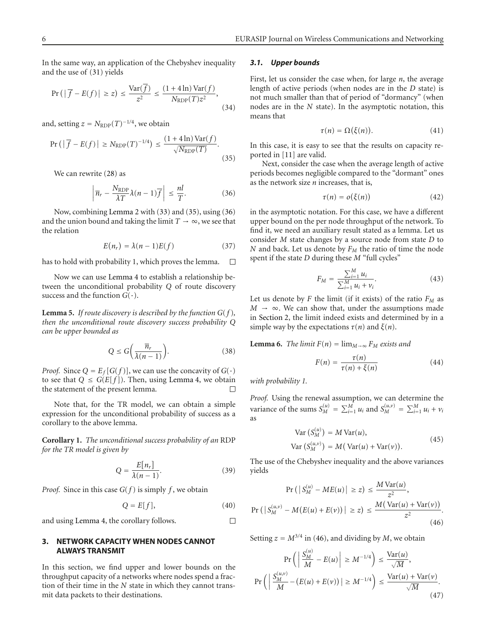In the same way, an application of the Chebyshev inequality and the use of (31) yields

$$
\Pr\left(\left|\overline{f} - E(f)\right| \ge z\right) \le \frac{\text{Var}(\overline{f})}{z^2} \le \frac{(1 + 4\ln)\text{Var}(f)}{N_{\text{RDP}}(T)z^2},\tag{34}
$$

and, setting  $z = N_{RDP}(T)^{-1/4}$ , we obtain

$$
\Pr\left(\left|\overline{f} - E(f)\right| \ge N_{\text{RDP}}(T)^{-1/4}\right) \le \frac{(1 + 4\ln)\operatorname{Var}(f)}{\sqrt{N_{\text{RDP}}(T)}}.\tag{35}
$$

We can rewrite (28) as

$$
\left|\overline{n}_r - \frac{N_{\text{RDP}}}{\lambda T} \lambda (n-1) \overline{f}\right| \le \frac{n!}{T}.\tag{36}
$$

Now, combining Lemma 2 with (33) and (35), using (36) and the union bound and taking the limit  $T \to \infty$ , we see that the relation

$$
E(n_r) = \lambda(n-1)E(f) \tag{37}
$$

has to hold with probability 1, which proves the lemma. П

Now we can use Lemma 4 to establish a relationship between the unconditional probability *Q* of route discovery success and the function  $G(\cdot)$ .

**Lemma 5.** If route discovery is described by the function  $G(f)$ , *then the unconditional route discovery success probability Q can be upper bounded as*

$$
Q \le G\bigg(\frac{\overline{n}_r}{\lambda(n-1)}\bigg). \tag{38}
$$

*Proof.* Since  $Q = E_f[G(f)]$ , we can use the concavity of  $G(\cdot)$ to see that  $Q \leq G(E[f])$ . Then, using Lemma 4, we obtain the statement of the present lemma. the statement of the present lemma.

Note that, for the TR model, we can obtain a simple expression for the unconditional probability of success as a corollary to the above lemma.

**Corollary 1.** *The unconditional success probability of an* RDP *for the TR model is given by*

$$
Q = \frac{E[n_r]}{\lambda(n-1)}.\tag{39}
$$

*Proof.* Since in this case  $G(f)$  is simply *f*, we obtain

$$
Q = E[f],\tag{40}
$$

 $\Box$ 

and using Lemma 4, the corollary follows.

# **3. NETWORK CAPACITY WHEN NODES CANNOT ALWAYS TRANSMIT**

In this section, we find upper and lower bounds on the throughput capacity of a networks where nodes spend a fraction of their time in the *N* state in which they cannot transmit data packets to their destinations.

### *3.1. Upper bounds*

First, let us consider the case when, for large *n*, the average length of active periods (when nodes are in the *D* state) is not much smaller than that of period of "dormancy" (when nodes are in the *N* state). In the asymptotic notation, this means that

$$
\tau(n) = \Omega(\xi(n)). \tag{41}
$$

In this case, it is easy to see that the results on capacity reported in [11] are valid.

Next, consider the case when the average length of active periods becomes negligible compared to the "dormant" ones as the network size *n* increases, that is,

$$
\tau(n) = o(\xi(n)) \tag{42}
$$

in the asymptotic notation. For this case, we have a different upper bound on the per node throughput of the network. To find it, we need an auxiliary result stated as a lemma. Let us consider *M* state changes by a source node from state *D* to *N* and back. Let us denote by *FM* the ratio of time the node spent if the state *D* during these *M* "full cycles"

$$
F_M = \frac{\sum_{i=1}^{M} u_i}{\sum_{i=1}^{M} u_i + v_i}.
$$
 (43)

Let us denote by  $F$  the limit (if it exists) of the ratio  $F_M$  as  $M \rightarrow \infty$ . We can show that, under the assumptions made in Section 2, the limit indeed exists and determined by in a simple way by the expectations *τ*(*n*) and *ξ*(*n*).

# **Lemma 6.** *The limit*  $F(n) = \lim_{M \to \infty} F_M$  *exists and*

$$
F(n) = \frac{\tau(n)}{\tau(n) + \xi(n)}\tag{44}
$$

*with probability 1.*

*Proof.* Using the renewal assumption, we can determine the variance of the sums  $S_M^{(u)} = \sum_{i=1}^M u_i$  and  $S_M^{(u,v)} = \sum_{i=1}^M u_i + v_i$ as

$$
\operatorname{Var}\left(S_M^{(u)}\right) = M \operatorname{Var}(u),
$$
  
\n
$$
\operatorname{Var}\left(S_M^{(u,v)}\right) = M \left(\operatorname{Var}(u) + \operatorname{Var}(v)\right).
$$
\n(45)

The use of the Chebyshev inequality and the above variances yields

$$
\Pr\left(\left|S_M^{(u)} - ME(u)\right| \ge z\right) \le \frac{M \operatorname{Var}(u)}{z^2},
$$
\n
$$
\Pr\left(\left|S_M^{(u,v)} - M(E(u) + E(v))\right| \ge z\right) \le \frac{M(\operatorname{Var}(u) + \operatorname{Var}(v))}{z^2}.
$$
\n(46)

Setting  $z = M^{3/4}$  in (46), and dividing by *M*, we obtain

$$
\Pr\left(\left|\frac{S_M^{(u)}}{M} - E(u)\right| \ge M^{-1/4}\right) \le \frac{\text{Var}(u)}{\sqrt{M}},
$$
  

$$
\Pr\left(\left|\frac{S_M^{(u,v)}}{M} - (E(u) + E(v))\right| \ge M^{-1/4}\right) \le \frac{\text{Var}(u) + \text{Var}(v)}{\sqrt{M}}.
$$
 (47)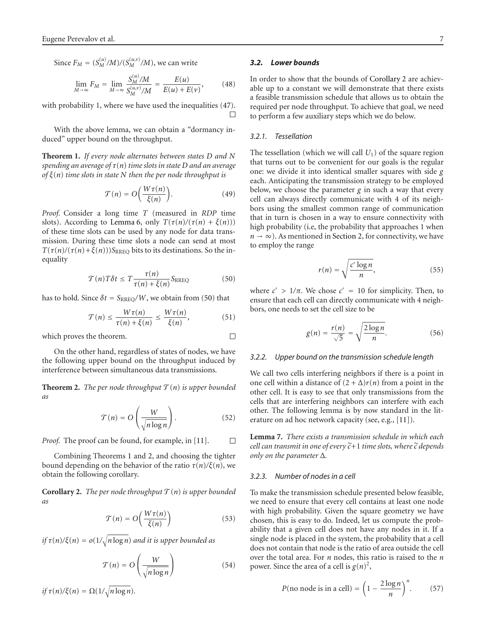Since  $F_M = (S_M^{(u)}/M)/(S_M^{(u,v)}/M)$ , we can write

$$
\lim_{M \to \infty} F_M = \lim_{M \to \infty} \frac{S_M^{(u)}/M}{S_M^{(u,v)}/M} = \frac{E(u)}{E(u) + E(v)},
$$
(48)

with probability 1, where we have used the inequalities (47). □

With the above lemma, we can obtain a "dormancy induced" upper bound on the throughput.

**Theorem 1.** *If every node alternates between states D and N spending an average of τ*(*n*) *time slots in state D and an average of ξ*(*n*) *time slots in state N then the per node throughput is*

$$
\mathcal{T}(n) = O\bigg(\frac{W\tau(n)}{\xi(n)}\bigg). \tag{49}
$$

*Proof.* Consider a long time *T* (measured in *RDP* time slots). According to Lemma 6, only  $T(\tau(n)/(\tau(n) + \xi(n)))$ of these time slots can be used by any node for data transmission. During these time slots a node can send at most  $T(\tau(n)/(\tau(n)+\xi(n)))S_{\text{RREO}}$  bits to its destinations. So the inequality

$$
\mathcal{T}(n)T\delta t \le T \frac{\tau(n)}{\tau(n) + \xi(n)} S_{\text{RREQ}} \tag{50}
$$

has to hold. Since  $\delta t = S_{\text{RREO}}/W$ , we obtain from (50) that

$$
\mathcal{T}(n) \le \frac{W\tau(n)}{\tau(n) + \xi(n)} \le \frac{W\tau(n)}{\xi(n)},
$$
\n(51)

 $\Box$ 

which proves the theorem.

On the other hand, regardless of states of nodes, we have the following upper bound on the throughput induced by interference between simultaneous data transmissions.

**Theorem 2.** *The per node throughput*  $T(n)$  *is upper bounded as*

$$
\mathcal{T}(n) = O\left(\frac{W}{\sqrt{n \log n}}\right). \tag{52}
$$

*Proof.* The proof can be found, for example, in [11].  $\Box$ 

Combining Theorems 1 and 2, and choosing the tighter bound depending on the behavior of the ratio *τ*(*n*)*/ξ*(*n*), we obtain the following corollary.

**Corollary 2.** *The per node throughput*  $T(n)$  *is upper bounded as*

$$
\mathcal{T}(n) = O\left(\frac{W\tau(n)}{\xi(n)}\right) \tag{53}
$$

 $if \tau(n)/\xi(n) = o(1/\sqrt{n \log n})$  *and it is upper bounded as* 

$$
\mathcal{T}(n) = O\left(\frac{W}{\sqrt{n \log n}}\right) \tag{54}
$$

 $if \tau(n)/\xi(n) = \Omega(1/\sqrt{n \log n}).$ 

### *3.2. Lower bounds*

In order to show that the bounds of Corollary 2 are achievable up to a constant we will demonstrate that there exists a feasible transmission schedule that allows us to obtain the required per node throughput. To achieve that goal, we need to perform a few auxiliary steps which we do below.

# *3.2.1. Tessellation*

The tessellation (which we will call *U*1) of the square region that turns out to be convenient for our goals is the regular one: we divide it into identical smaller squares with side *g* each. Anticipating the transmission strategy to be employed below, we choose the parameter *g* in such a way that every cell can always directly communicate with 4 of its neighbors using the smallest common range of communication that in turn is chosen in a way to ensure connectivity with high probability (i.e, the probability that approaches 1 when  $n \to \infty$ ). As mentioned in Section 2, for connectivity, we have to employ the range

$$
r(n) = \sqrt{\frac{c' \log n}{n}},
$$
\n(55)

where  $c' > 1/\pi$ . We chose  $c' = 10$  for simplicity. Then, to ensure that each cell can directly communicate with 4 neighbors, one needs to set the cell size to be

$$
g(n) = \frac{r(n)}{\sqrt{5}} = \sqrt{\frac{2\log n}{n}}.\tag{56}
$$

#### *3.2.2. Upper bound on the transmission schedule length*

We call two cells interfering neighbors if there is a point in one cell within a distance of  $(2 + \Delta)r(n)$  from a point in the other cell. It is easy to see that only transmissions from the cells that are interfering neighbors can interfere with each other. The following lemma is by now standard in the literature on ad hoc network capacity (see, e.g., [11]).

**Lemma 7.** *There exists a transmission schedule in which each cell can transmit in one of every <sup>c</sup>*+1 *time slots, wherecdepends only on the parameter* Δ*.*

#### *3.2.3. Number of nodes in a cell*

To make the transmission schedule presented below feasible, we need to ensure that every cell contains at least one node with high probability. Given the square geometry we have chosen, this is easy to do. Indeed, let us compute the probability that a given cell does not have any nodes in it. If a single node is placed in the system, the probability that a cell does not contain that node is the ratio of area outside the cell over the total area. For *n* nodes, this ratio is raised to the *n* power. Since the area of a cell is  $g(n)^2$ ,

$$
P(\text{no node is in a cell}) = \left(1 - \frac{2\log n}{n}\right)^n. \tag{57}
$$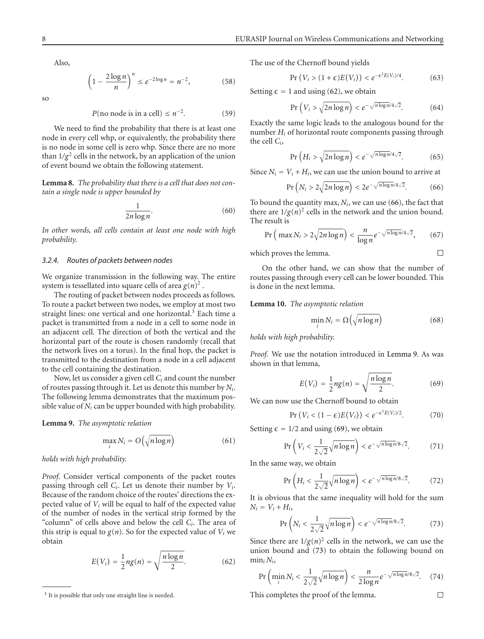Also,

$$
\left(1 - \frac{2\log n}{n}\right)^n \le e^{-2\log n} = n^{-2},\tag{58}
$$

so

$$
P(\text{no node is in a cell}) \le n^{-2}.\tag{59}
$$

We need to find the probability that there is at least one node in every cell whp, or equivalently, the probability there is no node in some cell is zero whp. Since there are no more than 1*/g*<sup>2</sup> cells in the network, by an application of the union of event bound we obtain the following statement.

**Lemma 8.** *The probability that there is a cell that does not contain a single node is upper bounded by*

$$
\frac{1}{2n\log n}.\tag{60}
$$

*In other words, all cells contain at least one node with high probability.*

#### *3.2.4. Routes of packets between nodes*

We organize transmission in the following way. The entire system is tessellated into square cells of area  $g(n)^2$ .

The routing of packet between nodes proceeds as follows. To route a packet between two nodes, we employ at most two straight lines: one vertical and one horizontal.<sup>3</sup> Each time a packet is transmitted from a node in a cell to some node in an adjacent cell. The direction of both the vertical and the horizontal part of the route is chosen randomly (recall that the network lives on a torus). In the final hop, the packet is transmitted to the destination from a node in a cell adjacent to the cell containing the destination.

Now, let us consider a given cell *Ci* and count the number of routes passing through it. Let us denote this number by *Ni*. The following lemma demonstrates that the maximum possible value of  $N_i$  can be upper bounded with high probability.

#### **Lemma 9.** *The asymptotic relation*

$$
\max_{i} N_i = O\left(\sqrt{n \log n}\right) \tag{61}
$$

*holds with high probability.*

*Proof.* Consider vertical components of the packet routes passing through cell *Ci*. Let us denote their number by *Vi*. Because of the random choice of the routes' directions the expected value of *Vi* will be equal to half of the expected value of the number of nodes in the vertical strip formed by the "column" of cells above and below the cell *Ci*. The area of this strip is equal to  $g(n)$ . So for the expected value of  $V_i$  we obtain

$$
E(V_i) = \frac{1}{2}ng(n) = \sqrt{\frac{n\log n}{2}}.
$$
 (62)

The use of the Chernoff bound yields

$$
\Pr(V_i > (1 + \epsilon)E(V_i)) < e^{-\epsilon^2 E(V_i)/4}.\tag{63}
$$

Setting  $\epsilon = 1$  and using (62), we obtain

$$
\Pr\left(V_i > \sqrt{2n\log n}\right) < e^{-\sqrt{n\log n}/4\sqrt{2}}.\tag{64}
$$

Exactly the same logic leads to the analogous bound for the number *Hi* of horizontal route components passing through the cell *Ci*,

$$
\Pr\left(H_i > \sqrt{2n\log n}\right) < e^{-\sqrt{n\log n/4\sqrt{2}}}. \tag{65}
$$

Since  $N_i = V_i + H_i$ , we can use the union bound to arrive at

$$
\Pr\left(N_i > 2\sqrt{2n\log n}\right) < 2e^{-\sqrt{n\log n}/4\sqrt{2}}.\tag{66}
$$

To bound the quantity max<sub>*i*</sub>  $N_i$ , we can use (66), the fact that there are  $1/g(n)^2$  cells in the network and the union bound. The result is

$$
\Pr\left(\max N_i > 2\sqrt{2n\log n}\right) < \frac{n}{\log n} e^{-\sqrt{n\log n}/4\sqrt{2}},\tag{67}
$$

which proves the lemma.

On the other hand, we can show that the number of routes passing through every cell can be lower bounded. This is done in the next lemma.

**Lemma 10.** *The asymptotic relation*

$$
\min_{i} N_i = \Omega\left(\sqrt{n \log n}\right) \tag{68}
$$

*holds with high probability.*

*Proof.* We use the notation introduced in Lemma 9. As was shown in that lemma,

$$
E(V_i) = \frac{1}{2}ng(n) = \sqrt{\frac{n\log n}{2}}.
$$
 (69)

We can now use the Chernoff bound to obtain

$$
\Pr(V_i < (1 - \epsilon)E(V_i)) < e^{-\epsilon^2 E(V_i)/2}.\tag{70}
$$

Setting  $\epsilon = 1/2$  and using (69), we obtain

$$
\Pr\left(V_i < \frac{1}{2\sqrt{2}}\sqrt{n\log n}\right) < e^{-\sqrt{n\log n}/8\sqrt{2}}.\tag{71}
$$

In the same way, we obtain

$$
\Pr\left(H_i < \frac{1}{2\sqrt{2}}\sqrt{n\log n}\right) < e^{-\sqrt{n\log n}/8\sqrt{2}}.\tag{72}
$$

It is obvious that the same inequality will hold for the sum  $N_i = V_i + H_i$ 

$$
\Pr\left(N_i < \frac{1}{2\sqrt{2}}\sqrt{n\log n}\right) < e^{-\sqrt{n\log n}/8\sqrt{2}}.\tag{73}
$$

Since there are  $1/g(n)^2$  cells in the network, we can use the union bound and (73) to obtain the following bound on  $\min_i N_i$ 

$$
\Pr\left(\min_i N_i < \frac{1}{2\sqrt{2}}\sqrt{n\log n}\right) < \frac{n}{2\log n} e^{-\sqrt{n\log n}/8\sqrt{2}}.\tag{74}
$$

This completes the proof of the lemma.

 $\Box$ 

<sup>&</sup>lt;sup>3</sup> It is possible that only one straight line is needed.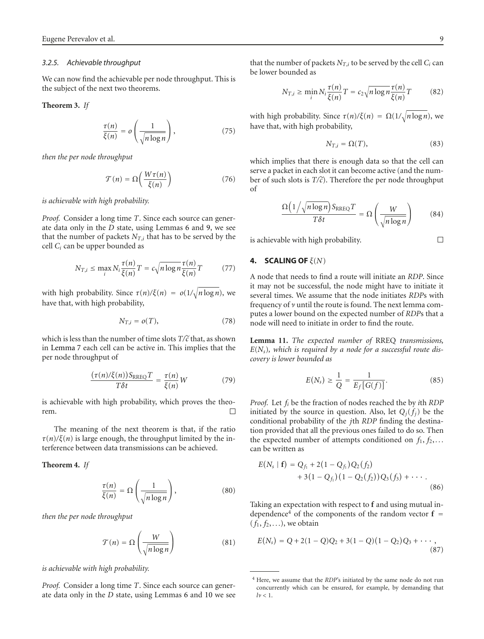# *3.2.5. Achievable throughput*

We can now find the achievable per node throughput. This is the subject of the next two theorems.

**Theorem 3.** *If*

$$
\frac{\tau(n)}{\xi(n)} = o\left(\frac{1}{\sqrt{n\log n}}\right),\tag{75}
$$

*then the per node throughput*

$$
\mathcal{T}(n) = \Omega\left(\frac{W\tau(n)}{\xi(n)}\right) \tag{76}
$$

*is achievable with high probability.*

*Proof.* Consider a long time *T*. Since each source can generate data only in the *D* state, using Lemmas 6 and 9, we see that the number of packets  $N_{T,i}$  that has to be served by the cell *Ci* can be upper bounded as

$$
N_{T,i} \le \max_{i} N_i \frac{\tau(n)}{\xi(n)} T = c \sqrt{n \log n} \frac{\tau(n)}{\xi(n)} T \tag{77}
$$

with high probability. Since  $\tau(n)/\xi(n) = o(1/\sqrt{n \log n})$ , we have that, with high probability,

$$
N_{T,i} = o(T), \tag{78}
$$

which is less than the number of time slots  $T/\tilde{c}$  that, as shown in Lemma 7 each cell can be active in. This implies that the per node throughput of

$$
\frac{(\tau(n)/\xi(n))S_{\text{RREG}}T}{T\delta t} = \frac{\tau(n)}{\xi(n)}W\tag{79}
$$

is achievable with high probability, which proves the theorem. П

The meaning of the next theorem is that, if the ratio  $\tau(n)/\xi(n)$  is large enough, the throughput limited by the interference between data transmissions can be achieved.

**Theorem 4.** *If*

$$
\frac{\tau(n)}{\xi(n)} = \Omega\left(\frac{1}{\sqrt{n\log n}}\right),\tag{80}
$$

*then the per node throughput*

$$
\mathcal{T}(n) = \Omega\left(\frac{W}{\sqrt{n\log n}}\right) \tag{81}
$$

*is achievable with high probability.*

*Proof.* Consider a long time *T*. Since each source can generate data only in the *D* state, using Lemmas 6 and 10 we see that the number of packets  $N_{T,i}$  to be served by the cell  $C_i$  can be lower bounded as

$$
N_{T,i} \ge \min_i N_i \frac{\tau(n)}{\xi(n)} T = c_2 \sqrt{n \log n} \frac{\tau(n)}{\xi(n)} T \tag{82}
$$

with high probability. Since  $\tau(n)/\xi(n) = \Omega(1/\sqrt{n \log n})$ , we have that, with high probability,

$$
N_{T,i} = \Omega(T),\tag{83}
$$

which implies that there is enough data so that the cell can serve a packet in each slot it can become active (and the number of such slots is *T/c*). Therefore the per node throughput of

$$
\frac{\Omega\left(1/\sqrt{n\log n}\right)S_{\text{RREG}}T}{T\delta t} = \Omega\left(\frac{W}{\sqrt{n\log n}}\right) \tag{84}
$$

is achievable with high probability.

# **4. SCALING OF** *ξ*(*N*)

A node that needs to find a route will initiate an *RDP*. Since it may not be successful, the node might have to initiate it several times. We assume that the node initiates *RDP*s with frequency of *ν* until the route is found. The next lemma computes a lower bound on the expected number of *RDP*s that a node will need to initiate in order to find the route.

**Lemma 11.** *The expected number of* RREQ *transmissions, E*(*Ns*)*, which is required by a node for a successful route discovery is lower bounded as*

$$
E(N_s) \ge \frac{1}{Q} = \frac{1}{E_f[G(f)]}.
$$
 (85)

*Proof.* Let *fi* be the fraction of nodes reached the by *i*th *RDP* initiated by the source in question. Also, let  $Q_i(f_i)$  be the conditional probability of the *j*th *RDP* finding the destination provided that all the previous ones failed to do so. Then the expected number of attempts conditioned on  $f_1, f_2, \ldots$ can be written as

$$
E(N_s | \mathbf{f}) = Q_{f_1} + 2(1 - Q_{f_1})Q_2(f_2)
$$
  
+ 3(1 - Q\_{f\_1})(1 - Q\_2(f\_2))Q\_3(f\_3) + \cdots (86)

Taking an expectation with respect to **f** and using mutual independence<sup>4</sup> of the components of the random vector  $f =$  $(f_1, f_2, \ldots)$ , we obtain

$$
E(N_s) = Q + 2(1 - Q)Q_2 + 3(1 - Q)(1 - Q_2)Q_3 + \cdots,
$$
\n(87)

 $\Box$ 

<sup>4</sup> Here, we assume that the *RDP*'s initiated by the same node do not run concurrently which can be ensured, for example, by demanding that *lν <* 1.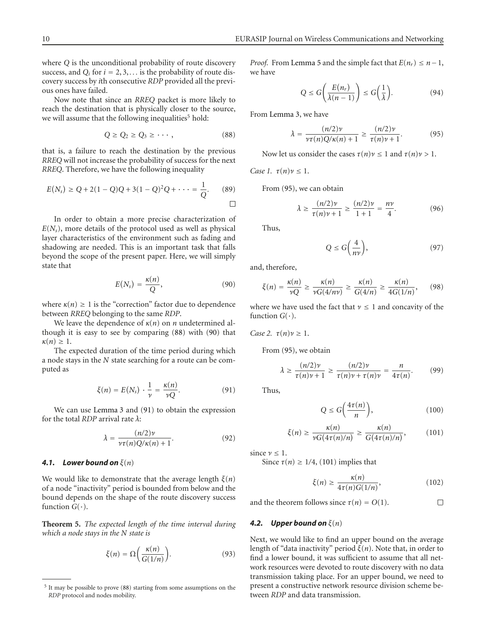where *Q* is the unconditional probability of route discovery success, and  $Q_i$  for  $i = 2, 3, \ldots$  is the probability of route discovery success by *i*th consecutive *RDP* provided all the previous ones have failed.

Now note that since an *RREQ* packet is more likely to reach the destination that is physically closer to the source, we will assume that the following inequalities<sup>5</sup> hold:

$$
Q \ge Q_2 \ge Q_3 \ge \cdots, \tag{88}
$$

that is, a failure to reach the destination by the previous *RREQ* will not increase the probability of success for the next *RREQ*. Therefore, we have the following inequality

$$
E(N_s) \ge Q + 2(1 - Q)Q + 3(1 - Q)^2 Q + \dots = \frac{1}{Q}.
$$
 (89)

In order to obtain a more precise characterization of  $E(N<sub>s</sub>)$ , more details of the protocol used as well as physical layer characteristics of the environment such as fading and shadowing are needed. This is an important task that falls beyond the scope of the present paper. Here, we will simply state that

$$
E(N_s) = \frac{\kappa(n)}{Q},\tag{90}
$$

where  $\kappa(n) \geq 1$  is the "correction" factor due to dependence between *RREQ* belonging to the same *RDP*.

We leave the dependence of *κ*(*n*) on *n* undetermined although it is easy to see by comparing (88) with (90) that  $\kappa(n) \geq 1$ .

The expected duration of the time period during which a node stays in the *N* state searching for a route can be computed as

$$
\xi(n) = E(N_s) \cdot \frac{1}{\nu} = \frac{\kappa(n)}{\nu Q}.
$$
 (91)

We can use Lemma 3 and (91) to obtain the expression for the total *RDP* arrival rate *λ*:

$$
\lambda = \frac{(n/2)\nu}{\nu\tau(n)Q/\kappa(n) + 1}.\tag{92}
$$

## *4.1. Lower bound on ξ*(*n*)

We would like to demonstrate that the average length *ξ*(*n*) of a node "inactivity" period is bounded from below and the bound depends on the shape of the route discovery success function  $G(\cdot)$ .

**Theorem 5.** *The expected length of the time interval during which a node stays in the N state is*

$$
\xi(n) = \Omega\bigg(\frac{\kappa(n)}{G(1/n)}\bigg). \tag{93}
$$

*Proof.* From Lemma 5 and the simple fact that  $E(n_r) \leq n-1$ , we have

$$
Q \le G\left(\frac{E(n_r)}{\lambda(n-1)}\right) \le G\left(\frac{1}{\lambda}\right). \tag{94}
$$

From Lemma 3, we have

$$
\lambda = \frac{(n/2)\nu}{\nu \tau(n)Q/\kappa(n) + 1} \ge \frac{(n/2)\nu}{\tau(n)\nu + 1}.
$$
 (95)

Now let us consider the cases  $\tau(n)\nu \leq 1$  and  $\tau(n)\nu > 1$ .

*Case 1.*  $\tau(n)\nu \leq 1$ .

From (95), we can obtain

$$
\lambda \ge \frac{(n/2)\nu}{\tau(n)\nu + 1} \ge \frac{(n/2)\nu}{1 + 1} = \frac{n\nu}{4}.\tag{96}
$$

Thus,

$$
Q \le G\left(\frac{4}{n\nu}\right),\tag{97}
$$

and, therefore,

$$
\xi(n) = \frac{\kappa(n)}{\nu Q} \ge \frac{\kappa(n)}{\nu G(4/n\nu)} \ge \frac{\kappa(n)}{G(4/n)} \ge \frac{\kappa(n)}{4G(1/n)},\qquad(98)
$$

where we have used the fact that  $\nu \leq 1$  and concavity of the function  $G(\cdot)$ .

*Case 2.*  $\tau(n)v \geq 1$ .

From (95), we obtain

$$
\lambda \ge \frac{(n/2)\nu}{\tau(n)\nu + 1} \ge \frac{(n/2)\nu}{\tau(n)\nu + \tau(n)\nu} = \frac{n}{4\tau(n)}.\tag{99}
$$

Thus,

$$
Q \le G\left(\frac{4\tau(n)}{n}\right),\tag{100}
$$

$$
\xi(n) \ge \frac{\kappa(n)}{\nu G(4\tau(n)/n)} \ge \frac{\kappa(n)}{G(4\tau(n)/n)},\tag{101}
$$

since  $\nu \leq 1$ .

Since  $\tau(n) \geq 1/4$ , (101) implies that

$$
\xi(n) \ge \frac{\kappa(n)}{4\tau(n)G(1/n)},\tag{102}
$$

and the theorem follows since  $\tau(n) = O(1)$ .  $\Box$ 

## *4.2. Upper bound on ξ*(*n*)

Next, we would like to find an upper bound on the average length of "data inactivity" period *ξ*(*n*). Note that, in order to find a lower bound, it was sufficient to assume that all network resources were devoted to route discovery with no data transmission taking place. For an upper bound, we need to present a constructive network resource division scheme between *RDP* and data transmission.

<sup>5</sup> It may be possible to prove (88) starting from some assumptions on the *RDP* protocol and nodes mobility.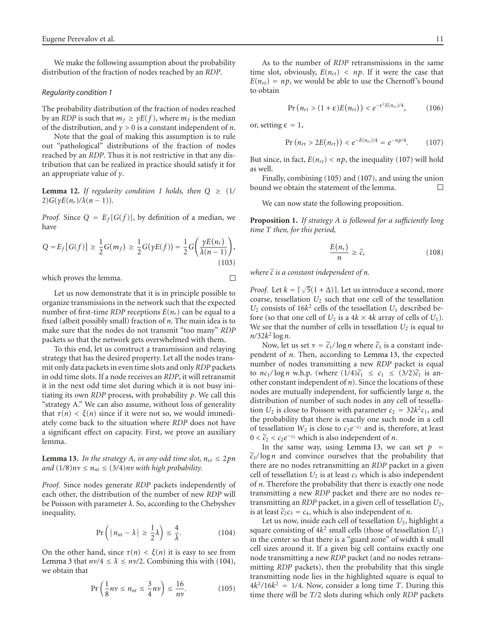We make the following assumption about the probability distribution of the fraction of nodes reached by an *RDP*.

#### *Regularity condition 1*

The probability distribution of the fraction of nodes reached by an *RDP* is such that  $m_f \geq \gamma E(f)$ , where  $m_f$  is the median of the distribution, and *γ >* 0 is a constant independent of *n*.

Note that the goal of making this assumption is to rule out "pathological" distributions of the fraction of nodes reached by an *RDP*. Thus it is not restrictive in that any distribution that can be realized in practice should satisfy it for an appropriate value of *γ*.

**Lemma 12.** *If regularity condition 1 holds, then*  $Q \geq (1/2)^2$  $2)G(yE(n<sub>r</sub>)/λ(n-1)).$ 

*Proof.* Since  $Q = E_f[G(f)]$ , by definition of a median, we have

$$
Q = E_f[G(f)] \ge \frac{1}{2}G(m_f) \ge \frac{1}{2}G(\gamma E(f)) = \frac{1}{2}G\left(\frac{\gamma E(n_r)}{\lambda(n-1)}\right),\tag{103}
$$

which proves the lemma.

Let us now demonstrate that it is in principle possible to organize transmissions in the network such that the expected number of first-time *RDP* receptions  $E(n_r)$  can be equal to a fixed (albeit possibly small) fraction of *n*. The main idea is to make sure that the nodes do not transmit "too many" *RDP* packets so that the network gets overwhelmed with them.

To this end, let us construct a transmission and relaying strategy that has the desired property. Let all the nodes transmit only data packets in even time slots and only *RDP* packets in odd time slots. If a node receives an *RDP*, it will retransmit it in the next odd time slot during which it is not busy initiating its own *RDP* process, with probability *p*. We call this "strategy A." We can also assume, without loss of generality that  $\tau(n) < \xi(n)$  since if it were not so, we would immediately come back to the situation where *RDP* does not have a significant effect on capacity. First, we prove an auxiliary lemma.

**Lemma 13.** *In the strategy A, in any odd time slot,*  $n_{rt} \leq 2pn$ *and*  $(1/8)$ *n* $\nu \le n_{nt} \le (3/4)$ *n* $\nu$  *with high probability.* 

*Proof.* Since nodes generate *RDP* packets independently of each other, the distribution of the number of new *RDP* will be Poisson with parameter *λ*. So, according to the Chebyshev inequality,

$$
\Pr\left(|n_{nt} - \lambda| \ge \frac{1}{2}\lambda\right) \le \frac{4}{\lambda}.\tag{104}
$$

On the other hand, since  $\tau(n) < \xi(n)$  it is easy to see from Lemma 3 that  $n\nu/4 \leq \lambda \leq n\nu/2$ . Combining this with (104), we obtain that

$$
\Pr\left(\frac{1}{8}n\nu \le n_{nt} \le \frac{3}{4}n\nu\right) \le \frac{16}{n\nu}.\tag{105}
$$

As to the number of *RDP* retransmissions in the same time slot, obviously,  $E(n_{rt}) < np$ . If it were the case that  $E(n_{rt}) = np$ , we would be able to use the Chernoff's bound to obtain

$$
\Pr\left(n_{rt} > (1+\epsilon)E(n_{rt})\right) < e^{-\epsilon^2 E(n_{rt})/4},\tag{106}
$$

or, setting  $\epsilon = 1$ ,

 $\Box$ 

$$
Pr (n_{rt} > 2E(n_{rt})) < e^{-E(n_{rt})/4} = e^{-np/4}.
$$
 (107)

But since, in fact,  $E(n_{rt}) < np$ , the inequality (107) will hold as well.

Finally, combining (105) and (107), and using the union bound we obtain the statement of the lemma. П

We can now state the following proposition.

**Proposition 1.** *If strategy A is followed for a sufficiently long time T then, for this period,*

$$
\frac{E(n_r)}{n} \ge \hat{c},\tag{108}
$$

*where <sup>c</sup> is a constant independent of <sup>n</sup>.*

*Proof.* Let  $k = \lceil \sqrt{5}(1 + \Delta) \rceil$ . Let us introduce a second, more coarse, tessellation  $U_2$  such that one cell of the tessellation  $U_2$  consists of 16 $k^2$  cells of the tessellation  $U_1$  described before (so that one cell of  $U_2$  is a  $4k \times 4k$  array of cells of  $U_1$ ). We see that the number of cells in tessellation  $U_2$  is equal to *n/*32*k*<sup>2</sup> log *n*.

Now, let us set  $\nu = \tilde{c}_1 / \log n$  where  $\tilde{c}_1$  is a constant independent of *n*. Then, according to Lemma 13, the expected number of nodes transmitting a new *RDP* packet is equal to  $nc_1/\log n$  w.h.p. (where  $(1/4)\tilde{c}_1 \leq c_1 \leq (3/2)\tilde{c}_1$  is another constant independent of *n*). Since the locations of these nodes are mutually independent, for sufficiently large *n*, the distribution of number of such nodes in any cell of tessellation  $U_2$  is close to Poisson with parameter  $c_2 = 32k^2c_1$ , and the probability that there is exactly one such node in a cell of tessellation  $W_2$  is close to  $c_2e^{-c_2}$  and is, therefore, at least  $0 < \tilde{c}_2 < c_2 e^{-c_2}$  which is also independent of *n*.

In the same way, using Lemma 13, we can set  $p =$  $\tilde{c}_3$ /log *n* and convince ourselves that the probability that there are no nodes retransmitting an *RDP* packet in a given cell of tessellation  $U_2$  is at least  $c_3$  which is also independent of *n*. Therefore the probability that there is exactly one node transmitting a new *RDP* packet and there are no nodes retransmitting an *RDP* packet, in a given cell of tessellation *U*2, is at least  $\tilde{c}_2 c_3 = c_4$ , which is also independent of *n*.

Let us now, inside each cell of tessellation *U*2, highlight a square consisting of  $4k^2$  small cells (those of tessellation  $U_1$ ) in the center so that there is a "guard zone" of width *k* small cell sizes around it. If a given big cell contains exactly one node transmitting a new *RDP* packet (and no nodes retransmitting *RDP* packets), then the probability that this single transmitting node lies in the highlighted square is equal to  $4k^2/16k^2 = 1/4$ . Now, consider a long time *T*. During this time there will be *T/*2 slots during which only *RDP* packets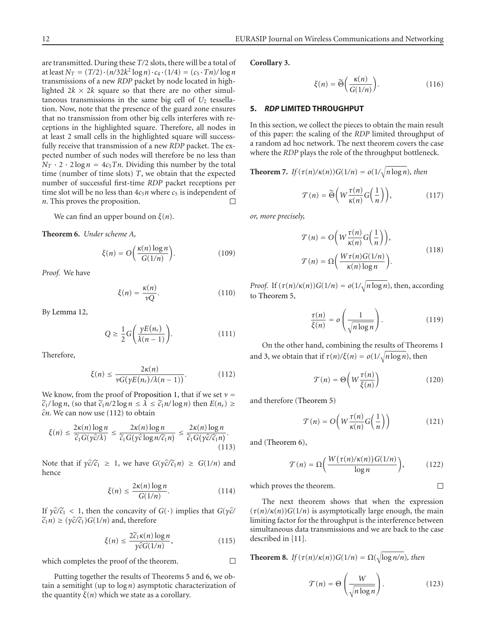are transmitted. During these *T/*2 slots, there will be a total of at least  $N_T = (T/2) \cdot (n/32k^2 \log n) \cdot c_4 \cdot (1/4) = (c_5 \cdot Tn)/\log n$ transmissions of a new *RDP* packet by node located in highlighted  $2k \times 2k$  square so that there are no other simultaneous transmissions in the same big cell of  $U_2$  tessellation. Now, note that the presence of the guard zone ensures that no transmission from other big cells interferes with receptions in the highlighted square. Therefore, all nodes in at least 2 small cells in the highlighted square will successfully receive that transmission of a new *RDP* packet. The expected number of such nodes will therefore be no less than  $N_T \cdot 2 \cdot 2 \log n = 4c_5 T n$ . Dividing this number by the total time (number of time slots) *T*, we obtain that the expected number of successful first-time *RDP* packet receptions per time slot will be no less than  $4c_5n$  where  $c_5$  is independent of *n*. This proves the proposition.  $\Box$ 

We can find an upper bound on *ξ*(*n*).

**Theorem 6.** *Under scheme A,*

$$
\xi(n) = O\left(\frac{\kappa(n)\log n}{G(1/n)}\right). \tag{109}
$$

*Proof.* We have

$$
\xi(n) = \frac{\kappa(n)}{\nu Q}.\tag{110}
$$

By Lemma 12,

$$
Q \ge \frac{1}{2} G\left(\frac{\gamma E(n_r)}{\lambda(n-1)}\right). \tag{111}
$$

Therefore,

$$
\xi(n) \le \frac{2\kappa(n)}{\nu G(\gamma E(n_r)/\lambda(n-1))}.
$$
 (112)

We know, from the proof of Proposition 1, that if we set *ν* =  $c_1$ / $\log n$ , (so that  $c_1 n/2 \log n \leq \lambda \leq c_1 n/\log n$ ) then  $E(n_r) \geq$  $\hat{c}n$ . We can now use (112) to obtain

$$
\xi(n) \le \frac{2\kappa(n)\log n}{\widetilde{c}_1 G(\gamma \widehat{c}/\lambda)} \le \frac{2\kappa(n)\log n}{\widetilde{c}_1 G(\gamma \widehat{c}\log n/\widetilde{c}_1 n)} \le \frac{2\kappa(n)\log n}{\widetilde{c}_1 G(\gamma \widehat{c}/\widetilde{c}_1 n)}.\tag{113}
$$

Note that if  $\gamma \hat{c}/\hat{c}_1 \geq 1$ , we have  $G(\gamma \hat{c}/\hat{c}_1 n) \geq G(1/n)$  and hence

$$
\xi(n) \le \frac{2\kappa(n)\log n}{G(1/n)}.\tag{114}
$$

If  $\gamma \hat{c}/\hat{c}_1 < 1$ , then the concavity of  $G(\cdot)$  implies that  $G(\gamma \hat{c})$  $\widetilde{c}_1 n$ )  $\geq (\gamma \widehat{c}/\widetilde{c}_1) G(1/n)$  and, therefore

$$
\xi(n) \le \frac{2\widetilde{c}_1 \kappa(n) \log n}{\gamma \widehat{c} G(1/n)},\tag{115}
$$

 $\Box$ 

which completes the proof of the theorem.

Putting together the results of Theorems 5 and 6, we obtain a semitight (up to log *n*) asymptotic characterization of the quantity  $\xi(n)$  which we state as a corollary.

**Corollary 3.**

$$
\xi(n) = \widetilde{\Theta}\bigg(\frac{\kappa(n)}{G(1/n)}\bigg). \tag{116}
$$

### **5.** *RDP* **LIMITED THROUGHPUT**

In this section, we collect the pieces to obtain the main result of this paper: the scaling of the *RDP* limited throughput of a random ad hoc network. The next theorem covers the case where the *RDP* plays the role of the throughput bottleneck.

**Theorem 7.** *If*  $(\tau(n)/\kappa(n))G(1/n) = o(1/\sqrt{n \log n})$ *, then* 

$$
\mathcal{T}(n) = \widetilde{\Theta}\left(W\frac{\tau(n)}{\kappa(n)}G\left(\frac{1}{n}\right)\right),\tag{117}
$$

*or, more precisely,*

$$
\mathcal{T}(n) = O\bigg(W \frac{\tau(n)}{\kappa(n)} G\Big(\frac{1}{n}\Big)\bigg),\,
$$
  

$$
\mathcal{T}(n) = \Omega\bigg(\frac{W\tau(n)G(1/n)}{\kappa(n)\log n}\bigg).
$$
 (118)

*Proof.* If  $(\tau(n)/\kappa(n))G(1/n) = o(1/\sqrt{n \log n})$ , then, according to Theorem 5,

$$
\frac{\tau(n)}{\xi(n)} = o\left(\frac{1}{\sqrt{n\log n}}\right). \tag{119}
$$

On the other hand, combining the results of Theorems 1 and 3, we obtain that if  $\tau(n)/\xi(n) = o(1/\sqrt{n \log n})$ , then

$$
\mathcal{T}(n) = \Theta\!\left(W\frac{\tau(n)}{\xi(n)}\right) \tag{120}
$$

and therefore (Theorem 5)

$$
\mathcal{T}(n) = O\!\left(W \frac{\tau(n)}{\kappa(n)} G\!\left(\frac{1}{n}\right)\right) \tag{121}
$$

and (Theorem 6),

$$
\mathcal{T}(n) = \Omega\bigg(\frac{W(\tau(n)/\kappa(n))G(1/n)}{\log n}\bigg),\tag{122}
$$

 $\Box$ 

which proves the theorem.

The next theorem shows that when the expression  $(\tau(n)/\kappa(n))$ *G* $(1/n)$  is asymptotically large enough, the main limiting factor for the throughput is the interference between simultaneous data transmissions and we are back to the case described in [11].

**Theorem 8.** *If*  $(\tau(n)/\kappa(n))G(1/n) = \Omega(\sqrt{\log n/n})$ *, then* 

$$
\mathcal{T}(n) = \Theta\left(\frac{W}{\sqrt{n \log n}}\right). \tag{123}
$$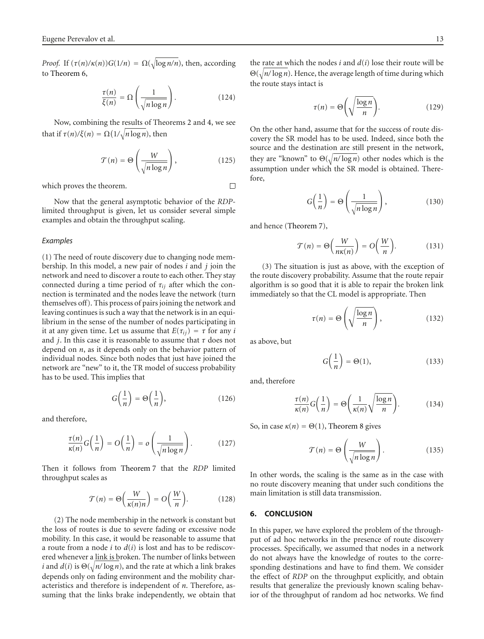*Proof.* If  $(\tau(n)/\kappa(n))G(1/n) = \Omega(\sqrt{\log n/n})$ , then, according to Theorem 6,

$$
\frac{\tau(n)}{\xi(n)} = \Omega\left(\frac{1}{\sqrt{n\log n}}\right). \tag{124}
$$

Now, combining the results of Theorems 2 and 4, we see that if  $\tau(n)/\xi(n) = \Omega\left(\frac{1}{\sqrt{n \log n}}\right)$ , then

$$
\mathcal{T}(n) = \Theta\left(\frac{W}{\sqrt{n \log n}}\right),\tag{125}
$$

which proves the theorem.

Now that the general asymptotic behavior of the *RDP*limited throughput is given, let us consider several simple examples and obtain the throughput scaling.

#### *Examples*

(1) The need of route discovery due to changing node membership. In this model, a new pair of nodes *i* and *j* join the network and need to discover a route to each other. They stay connected during a time period of  $\tau_{ij}$  after which the connection is terminated and the nodes leave the network (turn themselves off). This process of pairs joining the network and leaving continues is such a way that the network is in an equilibrium in the sense of the number of nodes participating in it at any given time. Let us assume that  $E(\tau_{ij}) = \tau$  for any *i* and *j*. In this case it is reasonable to assume that *τ* does not depend on *n*, as it depends only on the behavior pattern of individual nodes. Since both nodes that just have joined the network are "new" to it, the TR model of success probability has to be used. This implies that

$$
G\left(\frac{1}{n}\right) = \Theta\left(\frac{1}{n}\right),\tag{126}
$$

and therefore,

$$
\frac{\tau(n)}{\kappa(n)}G\left(\frac{1}{n}\right) = O\left(\frac{1}{n}\right) = o\left(\frac{1}{\sqrt{n\log n}}\right). \tag{127}
$$

Then it follows from Theorem 7 that the *RDP* limited throughput scales as

$$
\mathcal{T}(n) = \Theta\left(\frac{W}{\kappa(n)n}\right) = O\left(\frac{W}{n}\right). \tag{128}
$$

(2) The node membership in the network is constant but the loss of routes is due to severe fading or excessive node mobility. In this case, it would be reasonable to assume that a route from a node *i* to *d*(*i*) is lost and has to be rediscovered whenever a link is broken. The number of links between *i* and  $d(i)$  is  $\Theta(\sqrt{n/\log n})$ , and the rate at which a link brakes depends only on fading environment and the mobility characteristics and therefore is independent of *n*. Therefore, assuming that the links brake independently, we obtain that the rate at which the nodes  $i$  and  $d(i)$  lose their route will be  $\Theta(\sqrt{n/\log n})$ . Hence, the average length of time during which the route stays intact is

$$
\tau(n) = \Theta\left(\sqrt{\frac{\log n}{n}}\right). \tag{129}
$$

On the other hand, assume that for the success of route discovery the SR model has to be used. Indeed, since both the source and the destination are still present in the network, they are "known" to  $\Theta(\sqrt{n/\log n})$  other nodes which is the assumption under which the SR model is obtained. Therefore,

$$
G\left(\frac{1}{n}\right) = \Theta\left(\frac{1}{\sqrt{n\log n}}\right),\tag{130}
$$

and hence (Theorem 7),

 $\Box$ 

$$
\mathcal{T}(n) = \Theta\left(\frac{W}{n\kappa(n)}\right) = O\left(\frac{W}{n}\right). \tag{131}
$$

(3) The situation is just as above, with the exception of the route discovery probability. Assume that the route repair algorithm is so good that it is able to repair the broken link immediately so that the CL model is appropriate. Then

$$
\tau(n) = \Theta\left(\sqrt{\frac{\log n}{n}}\right),\tag{132}
$$

as above, but

$$
G\left(\frac{1}{n}\right) = \Theta(1),\tag{133}
$$

and, therefore

$$
\frac{\tau(n)}{\kappa(n)}G\left(\frac{1}{n}\right) = \Theta\left(\frac{1}{\kappa(n)}\sqrt{\frac{\log n}{n}}\right).
$$
 (134)

So, in case  $\kappa(n) = \Theta(1)$ , Theorem 8 gives

$$
\mathcal{T}(n) = \Theta\left(\frac{W}{\sqrt{n \log n}}\right). \tag{135}
$$

In other words, the scaling is the same as in the case with no route discovery meaning that under such conditions the main limitation is still data transmission.

# **6. CONCLUSION**

In this paper, we have explored the problem of the throughput of ad hoc networks in the presence of route discovery processes. Specifically, we assumed that nodes in a network do not always have the knowledge of routes to the corresponding destinations and have to find them. We consider the effect of *RDP* on the throughput explicitly, and obtain results that generalize the previously known scaling behavior of the throughput of random ad hoc networks. We find